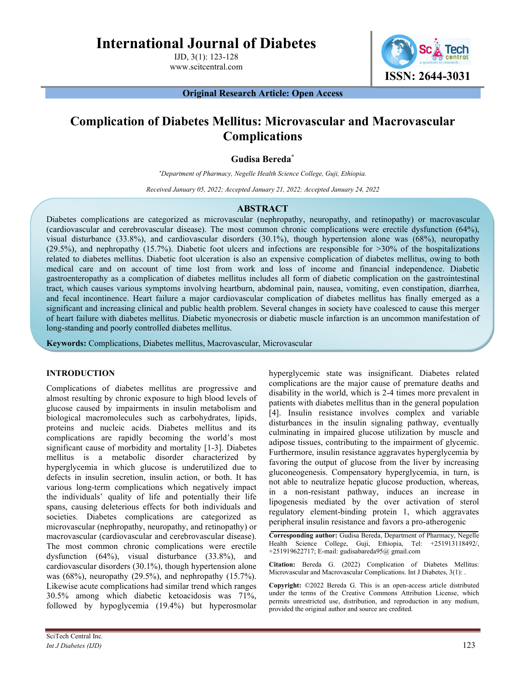# International Journal of Diabetes

IJD, 3(1): 123-128 www.scitcentral.com



Original Research Article: Open Access

## Complication of Diabetes Mellitus: Microvascular and Macrovascular Complications

### Gudisa Bereda\*

*\**Department of Pharmacy, Negelle Health Science College, Guji, Ethiopia.

Received January 05, 2022; Accepted January 21, 2022; Accepted January 24, 2022

#### ABSTRACT

Diabetes complications are categorized as microvascular (nephropathy, neuropathy, and retinopathy) or macrovascular (cardiovascular and cerebrovascular disease). The most common chronic complications were erectile dysfunction (64%), visual disturbance (33.8%), and cardiovascular disorders (30.1%), though hypertension alone was (68%), neuropathy (29.5%), and nephropathy (15.7%). Diabetic foot ulcers and infections are responsible for  $>30\%$  of the hospitalizations related to diabetes mellitus. Diabetic foot ulceration is also an expensive complication of diabetes mellitus, owing to both medical care and on account of time lost from work and loss of income and financial independence. Diabetic gastroenteropathy as a complication of diabetes mellitus includes all form of diabetic complication on the gastrointestinal tract, which causes various symptoms involving heartburn, abdominal pain, nausea, vomiting, even constipation, diarrhea, and fecal incontinence. Heart failure a major cardiovascular complication of diabetes mellitus has finally emerged as a significant and increasing clinical and public health problem. Several changes in society have coalesced to cause this merger of heart failure with diabetes mellitus. Diabetic myonecrosis or diabetic muscle infarction is an uncommon manifestation of long-standing and poorly controlled diabetes mellitus.

Keywords: Complications, Diabetes mellitus, Macrovascular, Microvascular

#### INTRODUCTION

Complications of diabetes mellitus are progressive and almost resulting by chronic exposure to high blood levels of glucose caused by impairments in insulin metabolism and biological macromolecules such as carbohydrates, lipids, proteins and nucleic acids. Diabetes mellitus and its complications are rapidly becoming the world's most significant cause of morbidity and mortality [1-3]. Diabetes mellitus is a metabolic disorder characterized by hyperglycemia in which glucose is underutilized due to defects in insulin secretion, insulin action, or both. It has various long-term complications which negatively impact the individuals' quality of life and potentially their life spans, causing deleterious effects for both individuals and societies. Diabetes complications are categorized as microvascular (nephropathy, neuropathy, and retinopathy) or macrovascular (cardiovascular and cerebrovascular disease). The most common chronic complications were erectile dysfunction (64%), visual disturbance (33.8%), and cardiovascular disorders (30.1%), though hypertension alone was  $(68\%)$ , neuropathy  $(29.5\%)$ , and nephropathy  $(15.7\%)$ . Likewise acute complications had similar trend which ranges 30.5% among which diabetic ketoacidosis was 71%, followed by hypoglycemia (19.4%) but hyperosmolar hyperglycemic state was insignificant. Diabetes related complications are the major cause of premature deaths and disability in the world, which is 2-4 times more prevalent in patients with diabetes mellitus than in the general population [4]. Insulin resistance involves complex and variable disturbances in the insulin signaling pathway, eventually culminating in impaired glucose utilization by muscle and adipose tissues, contributing to the impairment of glycemic. Furthermore, insulin resistance aggravates hyperglycemia by favoring the output of glucose from the liver by increasing gluconeogenesis. Compensatory hyperglycemia, in turn, is not able to neutralize hepatic glucose production, whereas, in a non-resistant pathway, induces an increase in lipogenesis mediated by the over activation of sterol regulatory element-binding protein 1, which aggravates peripheral insulin resistance and favors a pro-atherogenic

Corresponding author: Gudisa Bereda, Department of Pharmacy, Negelle Health Science College, Guji, Ethiopia, Tel: +251913118492/, +251919622717; E-mail: gudisabareda95@ gmail.com

Citation: Bereda G. (2022) Complication of Diabetes Mellitus: Microvascular and Macrovascular Complications. Int J Diabetes, 3(1): .

Copyright: ©2022 Bereda G. This is an open-access article distributed under the terms of the Creative Commons Attribution License, which permits unrestricted use, distribution, and reproduction in any medium, provided the original author and source are credited.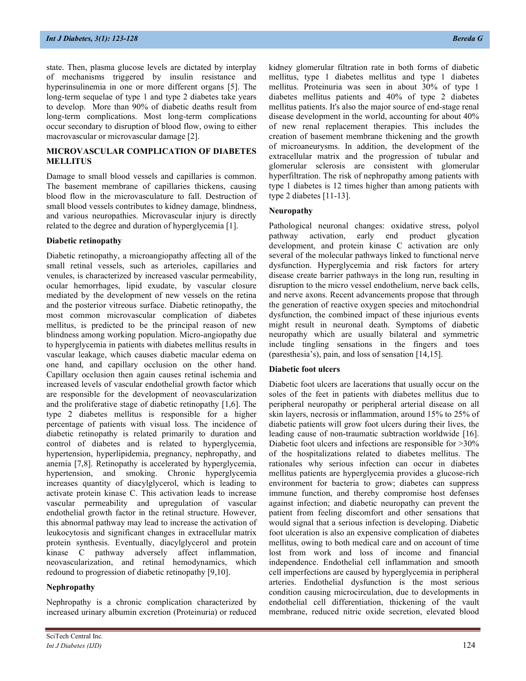state. Then, plasma glucose levels are dictated by interplay of mechanisms triggered by insulin resistance and hyperinsulinemia in one or more different organs [5]. The long-term sequelae of type 1 and type 2 diabetes take years to develop. More than 90% of diabetic deaths result from long-term complications. Most long-term complications occur secondary to disruption of blood flow, owing to either macrovascular or microvascular damage [2].

#### MICROVASCULAR COMPLICATION OF DIABETES MELLITUS

Damage to small blood vessels and capillaries is common. The basement membrane of capillaries thickens, causing blood flow in the microvasculature to fall. Destruction of small blood vessels contributes to kidney damage, blindness, and various neuropathies. Microvascular injury is directly related to the degree and duration of hyperglycemia [1].

#### Diabetic retinopathy

Diabetic retinopathy, a microangiopathy affecting all of the small retinal vessels, such as arterioles, capillaries and venules, is characterized by increased vascular permeability, ocular hemorrhages, lipid exudate, by vascular closure mediated by the development of new vessels on the retina and the posterior vitreous surface. Diabetic retinopathy, the most common microvascular complication of diabetes mellitus, is predicted to be the principal reason of new blindness among working population. Micro-angiopathy due to hyperglycemia in patients with diabetes mellitus results in vascular leakage, which causes diabetic macular edema on one hand, and capillary occlusion on the other hand. Capillary occlusion then again causes retinal ischemia and increased levels of vascular endothelial growth factor which are responsible for the development of neovascularization and the proliferative stage of diabetic retinopathy [1,6]. The type 2 diabetes mellitus is responsible for a higher percentage of patients with visual loss. The incidence of diabetic retinopathy is related primarily to duration and control of diabetes and is related to hyperglycemia, hypertension, hyperlipidemia, pregnancy, nephropathy, and anemia [7,8]. Retinopathy is accelerated by hyperglycemia, hypertension, and smoking. Chronic hyperglycemia increases quantity of diacylglycerol, which is leading to activate protein kinase C. This activation leads to increase vascular permeability and upregulation of vascular endothelial growth factor in the retinal structure. However, this abnormal pathway may lead to increase the activation of leukocytosis and significant changes in extracellular matrix protein synthesis. Eventually, diacylglycerol and protein kinase C pathway adversely affect inflammation, neovascularization, and retinal hemodynamics, which redound to progression of diabetic retinopathy [9,10].

## Nephropathy

Nephropathy is a chronic complication characterized by increased urinary albumin excretion (Proteinuria) or reduced kidney glomerular filtration rate in both forms of diabetic mellitus, type 1 diabetes mellitus and type 1 diabetes mellitus. Proteinuria was seen in about 30% of type 1 diabetes mellitus patients and 40% of type 2 diabetes mellitus patients. It's also the major source of end-stage renal disease development in the world, accounting for about 40% of new renal replacement therapies. This includes the creation of basement membrane thickening and the growth of microaneurysms. In addition, the development of the extracellular matrix and the progression of tubular and glomerular sclerosis are consistent with glomerular hyperfiltration. The risk of nephropathy among patients with type 1 diabetes is 12 times higher than among patients with type 2 diabetes [11-13].

## Neuropathy

Pathological neuronal changes: oxidative stress, polyol pathway activation, early end product glycation development, and protein kinase C activation are only several of the molecular pathways linked to functional nerve dysfunction. Hyperglycemia and risk factors for artery disease create barrier pathways in the long run, resulting in disruption to the micro vessel endothelium, nerve back cells, and nerve axons. Recent advancements propose that through the generation of reactive oxygen species and mitochondrial dysfunction, the combined impact of these injurious events might result in neuronal death. Symptoms of diabetic neuropathy which are usually bilateral and symmetric include tingling sensations in the fingers and toes (paresthesia's), pain, and loss of sensation [14,15].

## Diabetic foot ulcers

Diabetic foot ulcers are lacerations that usually occur on the soles of the feet in patients with diabetes mellitus due to peripheral neuropathy or peripheral arterial disease on all skin layers, necrosis or inflammation, around 15% to 25% of diabetic patients will grow foot ulcers during their lives, the leading cause of non-traumatic subtraction worldwide [16]. Diabetic foot ulcers and infections are responsible for >30% of the hospitalizations related to diabetes mellitus. The rationales why serious infection can occur in diabetes mellitus patients are hyperglycemia provides a glucose-rich environment for bacteria to grow; diabetes can suppress immune function, and thereby compromise host defenses against infection; and diabetic neuropathy can prevent the patient from feeling discomfort and other sensations that would signal that a serious infection is developing. Diabetic foot ulceration is also an expensive complication of diabetes mellitus, owing to both medical care and on account of time lost from work and loss of income and financial independence. Endothelial cell inflammation and smooth cell imperfections are caused by hyperglycemia in peripheral arteries. Endothelial dysfunction is the most serious condition causing microcirculation, due to developments in endothelial cell differentiation, thickening of the vault membrane, reduced nitric oxide secretion, elevated blood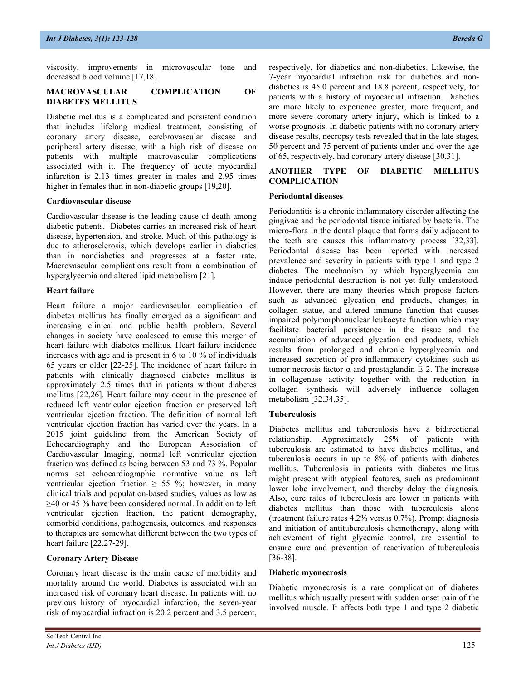viscosity, improvements in microvascular tone and decreased blood volume [17,18].

#### MACROVASCULAR COMPLICATION OF DIABETES MELLITUS

Diabetic mellitus is a complicated and persistent condition that includes lifelong medical treatment, consisting of coronary artery disease, cerebrovascular disease and peripheral artery disease, with a high risk of disease on patients with multiple macrovascular complications associated with it. The frequency of acute myocardial infarction is 2.13 times greater in males and 2.95 times higher in females than in non-diabetic groups [19,20].

#### Cardiovascular disease

Cardiovascular disease is the leading cause of death among diabetic patients. Diabetes carries an increased risk of heart disease, hypertension, and stroke. Much of this pathology is due to atherosclerosis, which develops earlier in diabetics than in nondiabetics and progresses at a faster rate. Macrovascular complications result from a combination of hyperglycemia and altered lipid metabolism [21].

#### Heart failure

Heart failure a major cardiovascular complication of diabetes mellitus has finally emerged as a significant and increasing clinical and public health problem. Several changes in society have coalesced to cause this merger of heart failure with diabetes mellitus. Heart failure incidence increases with age and is present in 6 to 10 % of individuals 65 years or older [22-25]. The incidence of heart failure in patients with clinically diagnosed diabetes mellitus is approximately 2.5 times that in patients without diabetes mellitus [22,26]. Heart failure may occur in the presence of reduced left ventricular ejection fraction or preserved left ventricular ejection fraction. The definition of normal left ventricular ejection fraction has varied over the years. In a 2015 joint guideline from the American Society of Echocardiography and the European Association of Cardiovascular Imaging, normal left ventricular ejection fraction was defined as being between 53 and 73 %. Popular norms set echocardiographic normative value as left ventricular ejection fraction  $\geq$  55 %; however, in many clinical trials and population-based studies, values as low as ≥40 or 45 % have been considered normal. In addition to left ventricular ejection fraction, the patient demography, comorbid conditions, pathogenesis, outcomes, and responses to therapies are somewhat different between the two types of heart failure [22,27-29].

#### Coronary Artery Disease

Coronary heart disease is the main cause of morbidity and mortality around the world. Diabetes is associated with an increased risk of coronary heart disease. In patients with no previous history of myocardial infarction, the seven-year risk of myocardial infraction is 20.2 percent and 3.5 percent,

respectively, for diabetics and non-diabetics. Likewise, the 7-year myocardial infraction risk for diabetics and nondiabetics is 45.0 percent and 18.8 percent, respectively, for patients with a history of myocardial infraction. Diabetics are more likely to experience greater, more frequent, and more severe coronary artery injury, which is linked to a worse prognosis. In diabetic patients with no coronary artery disease results, necropsy tests revealed that in the late stages, 50 percent and 75 percent of patients under and over the age of 65, respectively, had coronary artery disease [30,31].

#### ANOTHER TYPE OF DIABETIC MELLITUS COMPLICATION

#### Periodontal diseases

Periodontitis is a chronic inflammatory disorder affecting the gingivae and the periodontal tissue initiated by bacteria. The micro-flora in the dental plaque that forms daily adjacent to the teeth are causes this inflammatory process [32,33]. Periodontal disease has been reported with increased prevalence and severity in patients with type 1 and type 2 diabetes. The mechanism by which hyperglycemia can induce periodontal destruction is not yet fully understood. However, there are many theories which propose factors such as advanced glycation end products, changes in collagen statue, and altered immune function that causes impaired polymorphonuclear leukocyte function which may facilitate bacterial persistence in the tissue and the accumulation of advanced glycation end products, which results from prolonged and chronic hyperglycemia and increased secretion of pro-inflammatory cytokines such as tumor necrosis factor-α and prostaglandin E-2. The increase in collagenase activity together with the reduction in collagen synthesis will adversely influence collagen metabolism [32,34,35].

#### Tuberculosis

Diabetes mellitus and tuberculosis have a bidirectional relationship. Approximately 25% of patients with tuberculosis are estimated to have diabetes mellitus, and tuberculosis occurs in up to 8% of patients with diabetes mellitus. Tuberculosis in patients with diabetes mellitus might present with atypical features, such as predominant lower lobe involvement, and thereby delay the diagnosis. Also, cure rates of tuberculosis are lower in patients with diabetes mellitus than those with tuberculosis alone (treatment failure rates 4.2% versus 0.7%). Prompt diagnosis and initiation of antituberculosis chemotherapy, along with achievement of tight glycemic control, are essential to ensure cure and prevention of reactivation of tuberculosis [36-38].

#### Diabetic myonecrosis

Diabetic myonecrosis is a rare complication of diabetes mellitus which usually present with sudden onset pain of the involved muscle. It affects both type 1 and type 2 diabetic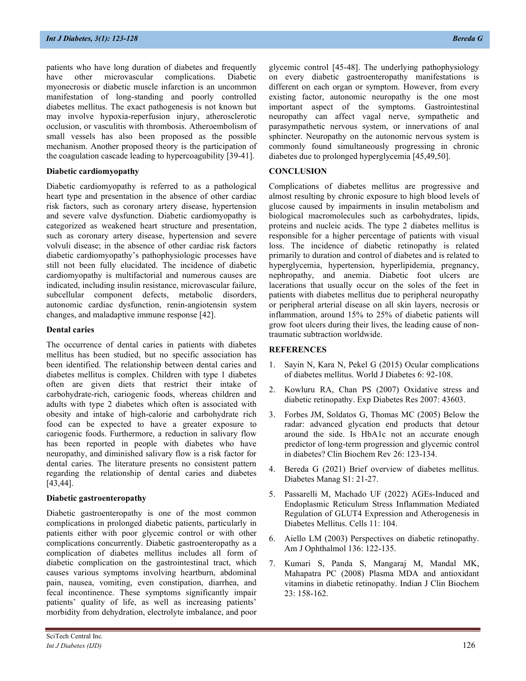patients who have long duration of diabetes and frequently have other microvascular complications. Diabetic myonecrosis or diabetic muscle infarction is an uncommon manifestation of long-standing and poorly controlled diabetes mellitus. The exact pathogenesis is not known but may involve hypoxia-reperfusion injury, atherosclerotic occlusion, or vasculitis with thrombosis. Atheroembolism of small vessels has also been proposed as the possible mechanism. Another proposed theory is the participation of the coagulation cascade leading to hypercoagubility [39-41].

#### Diabetic cardiomyopathy

Diabetic cardiomyopathy is referred to as a pathological heart type and presentation in the absence of other cardiac risk factors, such as coronary artery disease, hypertension and severe valve dysfunction. Diabetic cardiomyopathy is categorized as weakened heart structure and presentation, such as coronary artery disease, hypertension and severe volvuli disease; in the absence of other cardiac risk factors diabetic cardiomyopathy's pathophysiologic processes have still not been fully elucidated. The incidence of diabetic cardiomyopathy is multifactorial and numerous causes are indicated, including insulin resistance, microvascular failure, subcellular component defects, metabolic disorders, autonomic cardiac dysfunction, renin-angiotensin system changes, and maladaptive immune response [42].

#### Dental caries

The occurrence of dental caries in patients with diabetes mellitus has been studied, but no specific association has been identified. The relationship between dental caries and diabetes mellitus is complex. Children with type 1 diabetes often are given diets that restrict their intake of carbohydrate-rich, cariogenic foods, whereas children and adults with type 2 diabetes which often is associated with obesity and intake of high-calorie and carbohydrate rich food can be expected to have a greater exposure to cariogenic foods. Furthermore, a reduction in salivary flow has been reported in people with diabetes who have neuropathy, and diminished salivary flow is a risk factor for dental caries. The literature presents no consistent pattern regarding the relationship of dental caries and diabetes [43,44].

#### Diabetic gastroenteropathy

Diabetic gastroenteropathy is one of the most common complications in prolonged diabetic patients, particularly in patients either with poor glycemic control or with other complications concurrently. Diabetic gastroenteropathy as a complication of diabetes mellitus includes all form of diabetic complication on the gastrointestinal tract, which causes various symptoms involving heartburn, abdominal pain, nausea, vomiting, even constipation, diarrhea, and fecal incontinence. These symptoms significantly impair patients' quality of life, as well as increasing patients' morbidity from dehydration, electrolyte imbalance, and poor glycemic control [45-48]. The underlying pathophysiology on every diabetic gastroenteropathy manifestations is different on each organ or symptom. However, from every existing factor, autonomic neuropathy is the one most important aspect of the symptoms. Gastrointestinal neuropathy can affect vagal nerve, sympathetic and parasympathetic nervous system, or innervations of anal sphincter. Neuropathy on the autonomic nervous system is commonly found simultaneously progressing in chronic diabetes due to prolonged hyperglycemia [45,49,50].

#### **CONCLUSION**

Complications of diabetes mellitus are progressive and almost resulting by chronic exposure to high blood levels of glucose caused by impairments in insulin metabolism and biological macromolecules such as carbohydrates, lipids, proteins and nucleic acids. The type 2 diabetes mellitus is responsible for a higher percentage of patients with visual loss. The incidence of diabetic retinopathy is related primarily to duration and control of diabetes and is related to hyperglycemia, hypertension, hyperlipidemia, pregnancy, nephropathy, and anemia. Diabetic foot ulcers are lacerations that usually occur on the soles of the feet in patients with diabetes mellitus due to peripheral neuropathy or peripheral arterial disease on all skin layers, necrosis or inflammation, around 15% to 25% of diabetic patients will grow foot ulcers during their lives, the leading cause of nontraumatic subtraction worldwide.

#### **REFERENCES**

- 1. Sayin N, Kara N, Pekel G (2015) Ocular complications of diabetes mellitus. World J Diabetes 6: 92-108.
- 2. Kowluru RA, Chan PS (2007) Oxidative stress and diabetic retinopathy. Exp Diabetes Res 2007: 43603.
- 3. Forbes JM, Soldatos G, Thomas MC (2005) Below the radar: advanced glycation end products that detour around the side. Is HbA1c not an accurate enough predictor of long-term progression and glycemic control in diabetes? Clin Biochem Rev 26: 123-134.
- 4. Bereda G (2021) Brief overview of diabetes mellitus. Diabetes Manag S1: 21-27.
- 5. Passarelli M, Machado UF (2022) AGEs-Induced and Endoplasmic Reticulum Stress Inflammation Mediated Regulation of GLUT4 Expression and Atherogenesis in Diabetes Mellitus. Cells 11: 104.
- 6. Aiello LM (2003) Perspectives on diabetic retinopathy. Am J Ophthalmol 136: 122-135.
- 7. Kumari S, Panda S, Mangaraj M, Mandal MK, Mahapatra PC (2008) Plasma MDA and antioxidant vitamins in diabetic retinopathy. Indian J Clin Biochem 23: 158-162.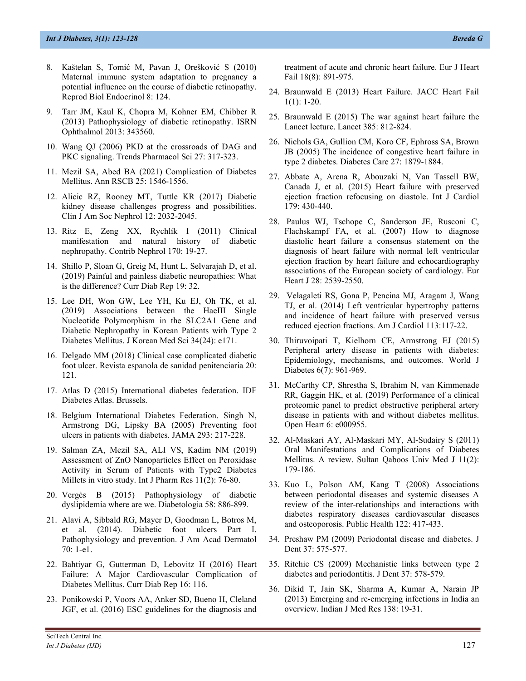- 8. Kaštelan S, Tomić M, Pavan J, Orešković S (2010) Maternal immune system adaptation to pregnancy a potential influence on the course of diabetic retinopathy. Reprod Biol Endocrinol 8: 124.
- 9. Tarr JM, Kaul K, Chopra M, Kohner EM, Chibber R (2013) Pathophysiology of diabetic retinopathy. ISRN Ophthalmol 2013: 343560.
- 10. Wang QJ (2006) PKD at the crossroads of DAG and PKC signaling. Trends Pharmacol Sci 27: 317-323.
- 11. Mezil SA, Abed BA (2021) Complication of Diabetes Mellitus. Ann RSCB 25: 1546-1556.
- 12. Alicic RZ, Rooney MT, Tuttle KR (2017) Diabetic kidney disease challenges progress and possibilities. Clin J Am Soc Nephrol 12: 2032-2045.
- 13. Ritz E, Zeng XX, Rychlík I (2011) Clinical manifestation and natural history of diabetic nephropathy. Contrib Nephrol 170: 19-27.
- 14. Shillo P, Sloan G, Greig M, Hunt L, Selvarajah D, et al. (2019) Painful and painless diabetic neuropathies: What is the difference? Curr Diab Rep 19: 32.
- 15. Lee DH, Won GW, Lee YH, Ku EJ, Oh TK, et al. (2019) Associations between the HaeIII Single Nucleotide Polymorphism in the SLC2A1 Gene and Diabetic Nephropathy in Korean Patients with Type 2 Diabetes Mellitus. J Korean Med Sci 34(24): e171.
- 16. Delgado MM (2018) Clinical case complicated diabetic foot ulcer. Revista espanola de sanidad penitenciaria 20: 121.
- 17. Atlas D (2015) International diabetes federation. IDF Diabetes Atlas. Brussels.
- 18. Belgium International Diabetes Federation. Singh N, Armstrong DG, Lipsky BA (2005) Preventing foot ulcers in patients with diabetes. JAMA 293: 217-228.
- 19. Salman ZA, Mezil SA, ALI VS, Kadim NM (2019) Assessment of ZnO Nanoparticles Effect on Peroxidase Activity in Serum of Patients with Type2 Diabetes Millets in vitro study. Int J Pharm Res 11(2): 76-80.
- 20. Vergès B (2015) Pathophysiology of diabetic dyslipidemia where are we. Diabetologia 58: 886-899.
- 21. Alavi A, Sibbald RG, Mayer D, Goodman L, Botros M, et al. (2014). Diabetic foot ulcers Part I. Pathophysiology and prevention. J Am Acad Dermatol 70: 1-e1.
- 22. Bahtiyar G, Gutterman D, Lebovitz H (2016) Heart Failure: A Major Cardiovascular Complication of Diabetes Mellitus. Curr Diab Rep 16: 116.
- 23. Ponikowski P, Voors AA, Anker SD, Bueno H, Cleland JGF, et al. (2016) ESC guidelines for the diagnosis and

treatment of acute and chronic heart failure. Eur J Heart Fail 18(8): 891-975.

- 24. Braunwald E (2013) Heart Failure. JACC Heart Fail 1(1): 1-20.
- 25. Braunwald E (2015) The war against heart failure the Lancet lecture. Lancet 385: 812-824.
- 26. Nichols GA, Gullion CM, Koro CF, Ephross SA, Brown JB (2005) The incidence of congestive heart failure in type 2 diabetes. Diabetes Care 27: 1879-1884.
- 27. Abbate A, Arena R, Abouzaki N, Van Tassell BW, Canada J, et al. (2015) Heart failure with preserved ejection fraction refocusing on diastole. Int J Cardiol 179: 430-440.
- 28. Paulus WJ, Tschope C, Sanderson JE, Rusconi C, Flachskampf FA, et al. (2007) How to diagnose diastolic heart failure a consensus statement on the diagnosis of heart failure with normal left ventricular ejection fraction by heart failure and echocardiography associations of the European society of cardiology. Eur Heart J 28: 2539-2550.
- 29. Velagaleti RS, Gona P, Pencina MJ, Aragam J, Wang TJ, et al. (2014) Left ventricular hypertrophy patterns and incidence of heart failure with preserved versus reduced ejection fractions. Am J Cardiol 113:117-22.
- 30. Thiruvoipati T, Kielhorn CE, Armstrong EJ (2015) Peripheral artery disease in patients with diabetes: Epidemiology, mechanisms, and outcomes. World J Diabetes 6(7): 961-969.
- 31. McCarthy CP, Shrestha S, Ibrahim N, van Kimmenade RR, Gaggin HK, et al. (2019) Performance of a clinical proteomic panel to predict obstructive peripheral artery disease in patients with and without diabetes mellitus. Open Heart 6: e000955.
- 32. Al-Maskari AY, Al-Maskari MY, Al-Sudairy S (2011) Oral Manifestations and Complications of Diabetes Mellitus. A review. Sultan Qaboos Univ Med J 11(2): 179-186.
- 33. Kuo L, Polson AM, Kang T (2008) Associations between periodontal diseases and systemic diseases A review of the inter-relationships and interactions with diabetes respiratory diseases cardiovascular diseases and osteoporosis. Public Health 122: 417-433.
- 34. Preshaw PM (2009) Periodontal disease and diabetes. J Dent 37: 575-577.
- 35. Ritchie CS (2009) Mechanistic links between type 2 diabetes and periodontitis. J Dent 37: 578-579.
- 36. Dikid T, Jain SK, Sharma A, Kumar A, Narain JP (2013) Emerging and re-emerging infections in India an overview. Indian J Med Res 138: 19-31.